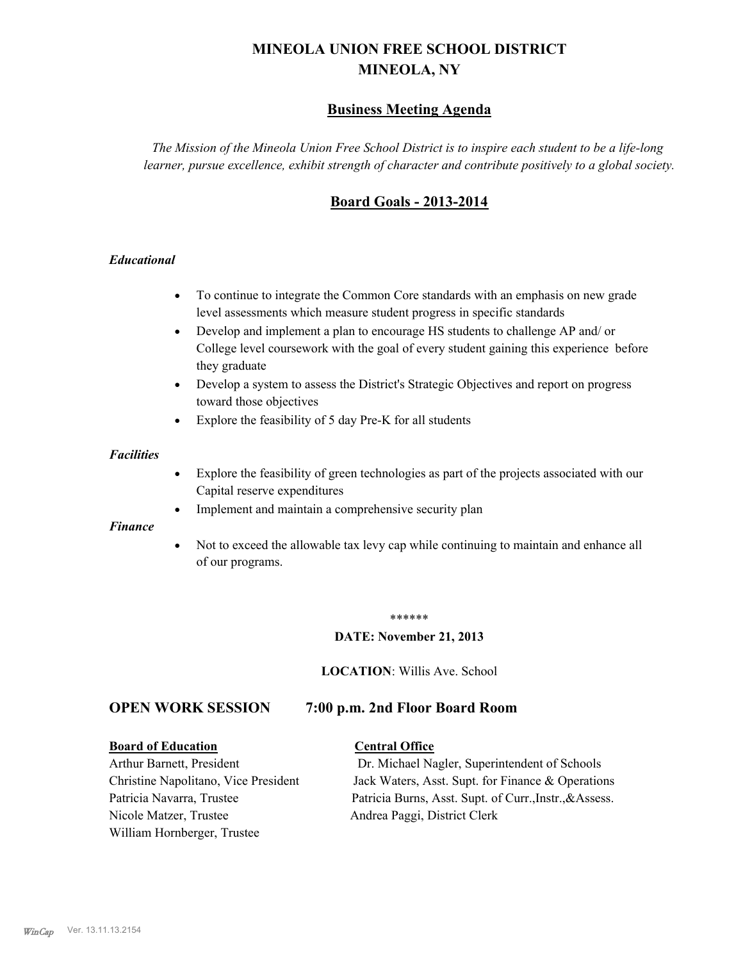# **MINEOLA UNION FREE SCHOOL DISTRICT MINEOLA, NY**

## **Business Meeting Agenda**

*The Mission of the Mineola Union Free School District is to inspire each student to be a life-long learner, pursue excellence, exhibit strength of character and contribute positively to a global society.*

## **Board Goals - 2013-2014**

#### *Educational*

- · To continue to integrate the Common Core standards with an emphasis on new grade level assessments which measure student progress in specific standards
- · Develop and implement a plan to encourage HS students to challenge AP and/ or College level coursework with the goal of every student gaining this experience before they graduate
- Develop a system to assess the District's Strategic Objectives and report on progress toward those objectives
- · Explore the feasibility of 5 day Pre-K for all students

#### *Facilities*

- · Explore the feasibility of green technologies as part of the projects associated with our Capital reserve expenditures
- Implement and maintain a comprehensive security plan

#### *Finance*

• Not to exceed the allowable tax levy cap while continuing to maintain and enhance all of our programs.

#### \*\*\*\*\*\*

#### **DATE: November 21, 2013**

**LOCATION**: Willis Ave. School

## **OPEN WORK SESSION 7:00 p.m. 2nd Floor Board Room**

#### **Board of Education Central Office**

Nicole Matzer, Trustee Andrea Paggi, District Clerk William Hornberger, Trustee

Arthur Barnett, President Dr. Michael Nagler, Superintendent of Schools Christine Napolitano, Vice President Jack Waters, Asst. Supt. for Finance & Operations Patricia Navarra, Trustee Patricia Burns, Asst. Supt. of Curr., Instr., &Assess.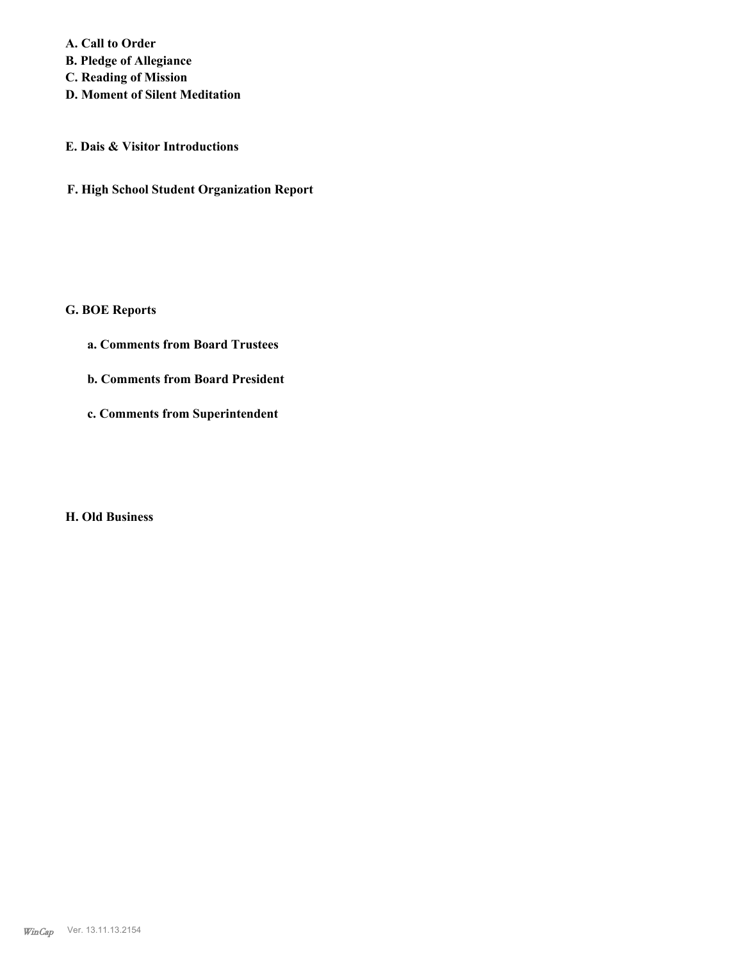**A. Call to Order B. Pledge of Allegiance C. Reading of Mission**

**D. Moment of Silent Meditation**

## **E. Dais & Visitor Introductions**

**F. High School Student Organization Report**

## **G. BOE Reports**

- **a. Comments from Board Trustees**
- **b. Comments from Board President**
- **c. Comments from Superintendent**

#### **H. Old Business**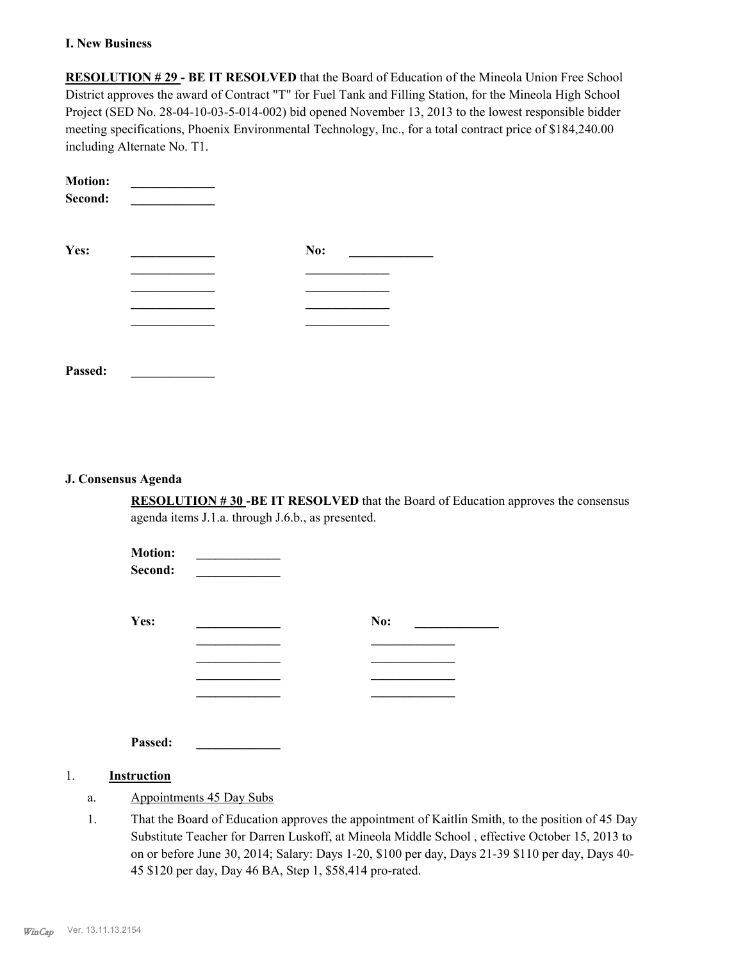#### **I. New Business**

**RESOLUTION # 29 - BE IT RESOLVED** that the Board of Education of the Mineola Union Free School District approves the award of Contract "T" for Fuel Tank and Filling Station, for the Mineola High School Project (SED No. 28-04-10-03-5-014-002) bid opened November 13, 2013 to the lowest responsible bidder meeting specifications, Phoenix Environmental Technology, Inc., for a total contract price of \$184,240.00 including Alternate No. T1.

| <b>Motion:</b><br>Second: |     |  |
|---------------------------|-----|--|
| Yes:                      | No: |  |
|                           |     |  |
|                           |     |  |
|                           |     |  |
| Passed:                   |     |  |

#### **J. Consensus Agenda**

**RESOLUTION # 30 -BE IT RESOLVED** that the Board of Education approves the consensus agenda items J.1.a. through J.6.b., as presented.

| <b>Motion:</b><br>Second: |     |
|---------------------------|-----|
| Yes:                      | No: |
|                           |     |
|                           |     |
|                           |     |
|                           |     |
| Passed:                   |     |

#### 1. **Instruction**

- a. Appointments 45 Day Subs
- That the Board of Education approves the appointment of Kaitlin Smith, to the position of 45 Day Substitute Teacher for Darren Luskoff, at Mineola Middle School , effective October 15, 2013 to on or before June 30, 2014; Salary: Days 1-20, \$100 per day, Days 21-39 \$110 per day, Days 40- 45 \$120 per day, Day 46 BA, Step 1, \$58,414 pro-rated. 1.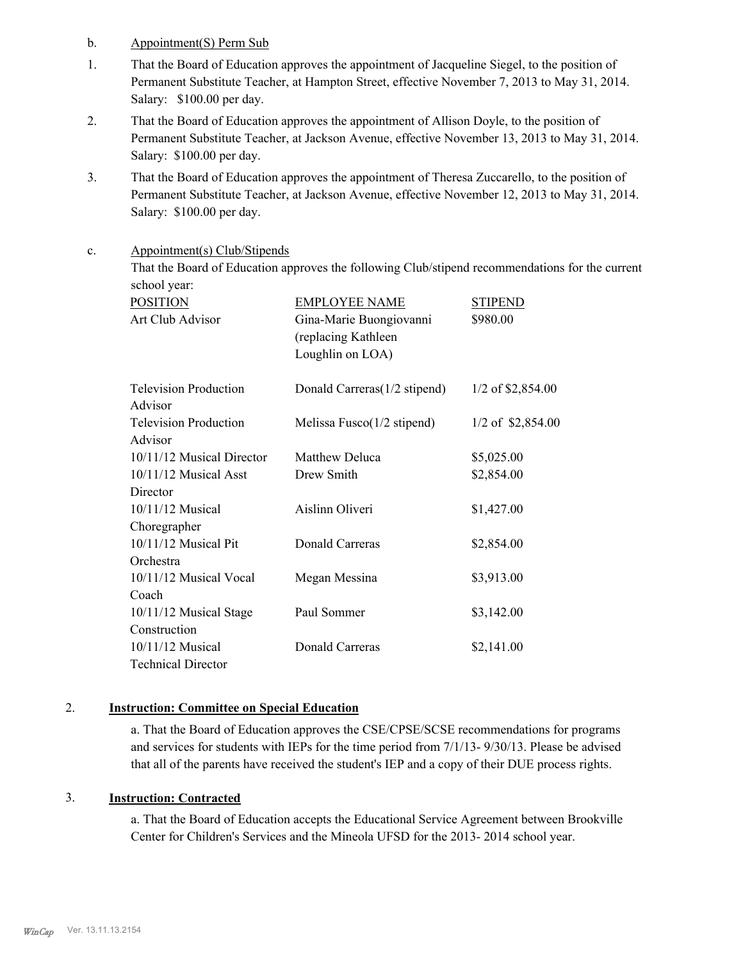- b. Appointment(S) Perm Sub
- That the Board of Education approves the appointment of Jacqueline Siegel, to the position of Permanent Substitute Teacher, at Hampton Street, effective November 7, 2013 to May 31, 2014. Salary: \$100.00 per day. 1.
- That the Board of Education approves the appointment of Allison Doyle, to the position of Permanent Substitute Teacher, at Jackson Avenue, effective November 13, 2013 to May 31, 2014. Salary: \$100.00 per day. 2.
- That the Board of Education approves the appointment of Theresa Zuccarello, to the position of Permanent Substitute Teacher, at Jackson Avenue, effective November 12, 2013 to May 31, 2014. Salary: \$100.00 per day. 3.
- Appointment(s) Club/Stipends c.

That the Board of Education approves the following Club/stipend recommendations for the current school year:

| <b>POSITION</b>              | <b>EMPLOYEE NAME</b>                  | <b>STIPEND</b>      |
|------------------------------|---------------------------------------|---------------------|
| Art Club Advisor             | Gina-Marie Buongiovanni               | \$980.00            |
|                              | (replacing Kathleen                   |                     |
|                              | Loughlin on LOA)                      |                     |
|                              |                                       |                     |
| <b>Television Production</b> | Donald Carreras (1/2 stipend)         | $1/2$ of \$2,854.00 |
| Advisor                      |                                       |                     |
| <b>Television Production</b> | Melissa Fusco $(1/2 \text{ stipend})$ | $1/2$ of \$2,854.00 |
| Advisor                      |                                       |                     |
| 10/11/12 Musical Director    | Matthew Deluca                        | \$5,025.00          |
| $10/11/12$ Musical Asst      | Drew Smith                            | \$2,854.00          |
| Director                     |                                       |                     |
| 10/11/12 Musical             | Aislinn Oliveri                       | \$1,427.00          |
| Choregrapher                 |                                       |                     |
| 10/11/12 Musical Pit         | Donald Carreras                       | \$2,854.00          |
| Orchestra                    |                                       |                     |
| 10/11/12 Musical Vocal       | Megan Messina                         | \$3,913.00          |
| Coach                        |                                       |                     |
| 10/11/12 Musical Stage       | Paul Sommer                           | \$3,142.00          |
| Construction                 |                                       |                     |
| $10/11/12$ Musical           | <b>Donald Carreras</b>                | \$2,141.00          |
| <b>Technical Director</b>    |                                       |                     |

#### 2. **Instruction: Committee on Special Education**

a. That the Board of Education approves the CSE/CPSE/SCSE recommendations for programs and services for students with IEPs for the time period from 7/1/13- 9/30/13. Please be advised that all of the parents have received the student's IEP and a copy of their DUE process rights.

## 3. **Instruction: Contracted**

a. That the Board of Education accepts the Educational Service Agreement between Brookville Center for Children's Services and the Mineola UFSD for the 2013- 2014 school year.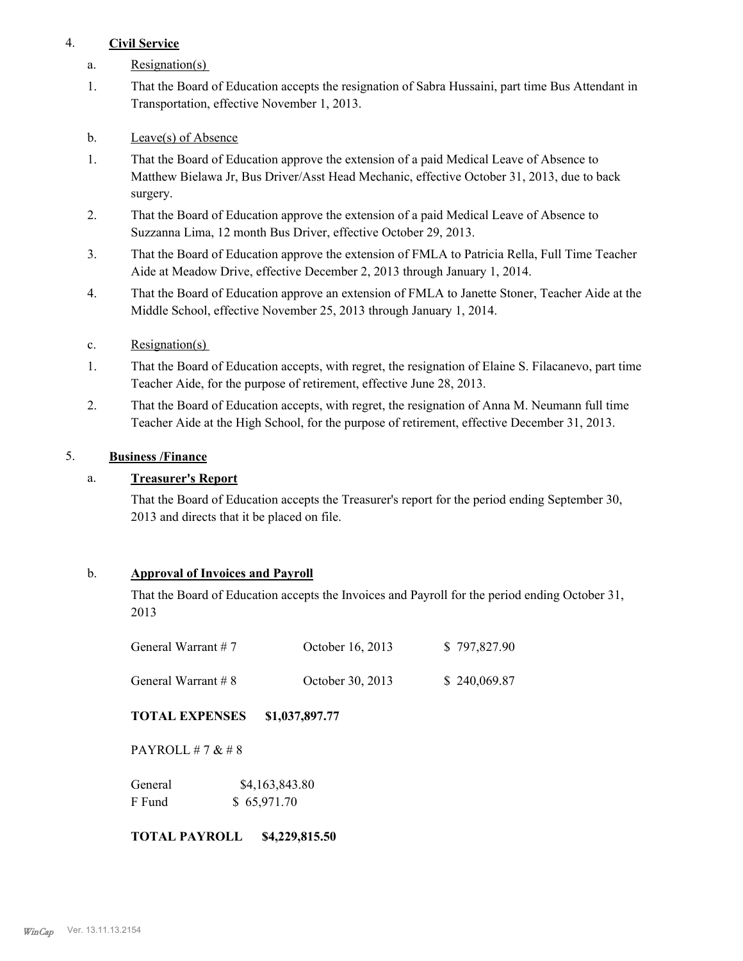## 4. **Civil Service**

- a. Resignation(s)
- That the Board of Education accepts the resignation of Sabra Hussaini, part time Bus Attendant in Transportation, effective November 1, 2013. 1.
- b. Leave(s) of Absence
- That the Board of Education approve the extension of a paid Medical Leave of Absence to Matthew Bielawa Jr, Bus Driver/Asst Head Mechanic, effective October 31, 2013, due to back surgery. 1.
- That the Board of Education approve the extension of a paid Medical Leave of Absence to Suzzanna Lima, 12 month Bus Driver, effective October 29, 2013. 2.
- That the Board of Education approve the extension of FMLA to Patricia Rella, Full Time Teacher Aide at Meadow Drive, effective December 2, 2013 through January 1, 2014. 3.
- That the Board of Education approve an extension of FMLA to Janette Stoner, Teacher Aide at the Middle School, effective November 25, 2013 through January 1, 2014. 4.
- c. Resignation(s)
- That the Board of Education accepts, with regret, the resignation of Elaine S. Filacanevo, part time Teacher Aide, for the purpose of retirement, effective June 28, 2013. 1.
- That the Board of Education accepts, with regret, the resignation of Anna M. Neumann full time Teacher Aide at the High School, for the purpose of retirement, effective December 31, 2013. 2.

## 5. **Business /Finance**

## a. **Treasurer's Report**

That the Board of Education accepts the Treasurer's report for the period ending September 30, 2013 and directs that it be placed on file.

## b. **Approval of Invoices and Payroll**

That the Board of Education accepts the Invoices and Payroll for the period ending October 31, 2013

| General Warrant $# 7$  | October 16, 2013 | \$797,827.90 |
|------------------------|------------------|--------------|
| General Warrant $\# 8$ | October 30, 2013 | \$240,069.87 |

**TOTAL EXPENSES \$1,037,897.77**

PAYROLL # 7 & # 8

| General | \$4,163,843.80 |
|---------|----------------|
| F Fund  | \$65,971.70    |

#### **TOTAL PAYROLL \$4,229,815.50**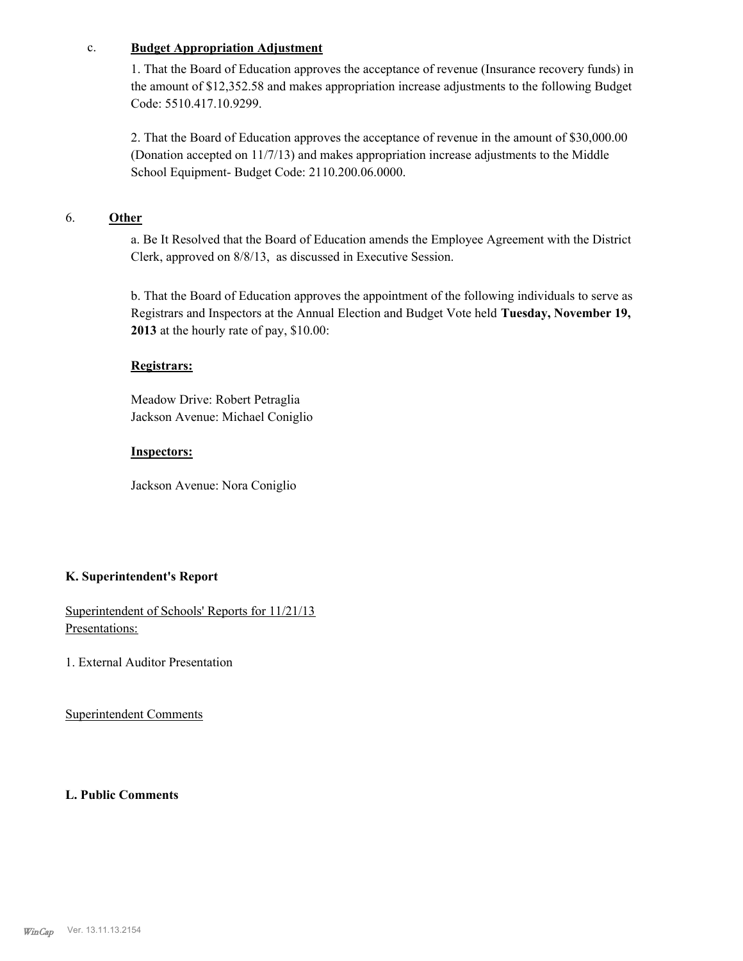#### c. **Budget Appropriation Adjustment**

1. That the Board of Education approves the acceptance of revenue (Insurance recovery funds) in the amount of \$12,352.58 and makes appropriation increase adjustments to the following Budget Code: 5510.417.10.9299.

2. That the Board of Education approves the acceptance of revenue in the amount of \$30,000.00 (Donation accepted on 11/7/13) and makes appropriation increase adjustments to the Middle School Equipment- Budget Code: 2110.200.06.0000.

## 6. **Other**

a. Be It Resolved that the Board of Education amends the Employee Agreement with the District Clerk, approved on 8/8/13, as discussed in Executive Session.

b. That the Board of Education approves the appointment of the following individuals to serve as Registrars and Inspectors at the Annual Election and Budget Vote held **Tuesday, November 19, 2013** at the hourly rate of pay, \$10.00:

#### **Registrars:**

Meadow Drive: Robert Petraglia Jackson Avenue: Michael Coniglio

#### **Inspectors:**

Jackson Avenue: Nora Coniglio

## **K. Superintendent's Report**

Superintendent of Schools' Reports for 11/21/13 Presentations:

1. External Auditor Presentation

Superintendent Comments

**L. Public Comments**